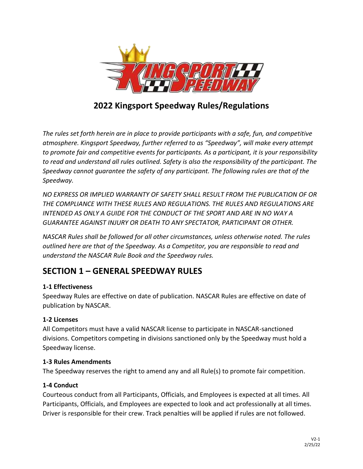

# **2022 Kingsport Speedway Rules/Regulations**

*The rules set forth herein are in place to provide participants with a safe, fun, and competitive atmosphere. Kingsport Speedway, further referred to as "Speedway", will make every attempt to promote fair and competitive events for participants. As a participant, it is your responsibility to read and understand all rules outlined. Safety is also the responsibility of the participant. The Speedway cannot guarantee the safety of any participant. The following rules are that of the Speedway.*

*NO EXPRESS OR IMPLIED WARRANTY OF SAFETY SHALL RESULT FROM THE PUBLICATION OF OR THE COMPLIANCE WITH THESE RULES AND REGULATIONS. THE RULES AND REGULATIONS ARE INTENDED AS ONLY A GUIDE FOR THE CONDUCT OF THE SPORT AND ARE IN NO WAY A GUARANTEE AGAINST INJURY OR DEATH TO ANY SPECTATOR, PARTICIPANT OR OTHER.*

*NASCAR Rules shall be followed for all other circumstances, unless otherwise noted. The rules outlined here are that of the Speedway. As a Competitor, you are responsible to read and understand the NASCAR Rule Book and the Speedway rules.*

# **SECTION 1 – GENERAL SPEEDWAY RULES**

## **1-1 Effectiveness**

Speedway Rules are effective on date of publication. NASCAR Rules are effective on date of publication by NASCAR.

## **1-2 Licenses**

All Competitors must have a valid NASCAR license to participate in NASCAR-sanctioned divisions. Competitors competing in divisions sanctioned only by the Speedway must hold a Speedway license.

## **1-3 Rules Amendments**

The Speedway reserves the right to amend any and all Rule(s) to promote fair competition.

## **1-4 Conduct**

Courteous conduct from all Participants, Officials, and Employees is expected at all times. All Participants, Officials, and Employees are expected to look and act professionally at all times. Driver is responsible for their crew. Track penalties will be applied if rules are not followed.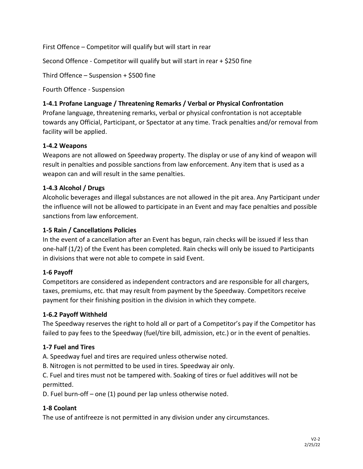First Offence – Competitor will qualify but will start in rear

Second Offence - Competitor will qualify but will start in rear + \$250 fine

Third Offence – Suspension + \$500 fine

Fourth Offence - Suspension

#### **1-4.1 Profane Language / Threatening Remarks / Verbal or Physical Confrontation**

Profane language, threatening remarks, verbal or physical confrontation is not acceptable towards any Official, Participant, or Spectator at any time. Track penalties and/or removal from facility will be applied.

#### **1-4.2 Weapons**

Weapons are not allowed on Speedway property. The display or use of any kind of weapon will result in penalties and possible sanctions from law enforcement. Any item that is used as a weapon can and will result in the same penalties.

#### **1-4.3 Alcohol / Drugs**

Alcoholic beverages and illegal substances are not allowed in the pit area. Any Participant under the influence will not be allowed to participate in an Event and may face penalties and possible sanctions from law enforcement.

#### **1-5 Rain / Cancellations Policies**

In the event of a cancellation after an Event has begun, rain checks will be issued if less than one-half (1/2) of the Event has been completed. Rain checks will only be issued to Participants in divisions that were not able to compete in said Event.

## **1-6 Payoff**

Competitors are considered as independent contractors and are responsible for all chargers, taxes, premiums, etc. that may result from payment by the Speedway. Competitors receive payment for their finishing position in the division in which they compete.

#### **1-6.2 Payoff Withheld**

The Speedway reserves the right to hold all or part of a Competitor's pay if the Competitor has failed to pay fees to the Speedway (fuel/tire bill, admission, etc.) or in the event of penalties.

#### **1-7 Fuel and Tires**

A. Speedway fuel and tires are required unless otherwise noted.

B. Nitrogen is not permitted to be used in tires. Speedway air only.

C. Fuel and tires must not be tampered with. Soaking of tires or fuel additives will not be permitted.

D. Fuel burn-off – one (1) pound per lap unless otherwise noted.

#### **1-8 Coolant**

The use of antifreeze is not permitted in any division under any circumstances.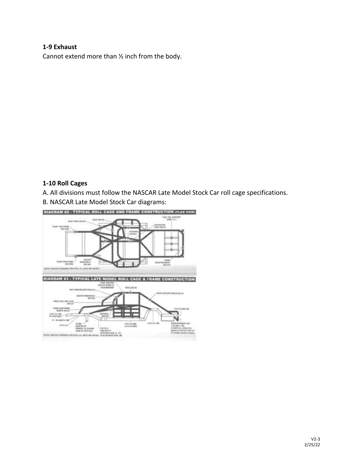#### **1-9 Exhaust**

Cannot extend more than ½ inch from the body.

#### **1-10 Roll Cages**

A. All divisions must follow the NASCAR Late Model Stock Car roll cage specifications.

B. NASCAR Late Model Stock Car diagrams:



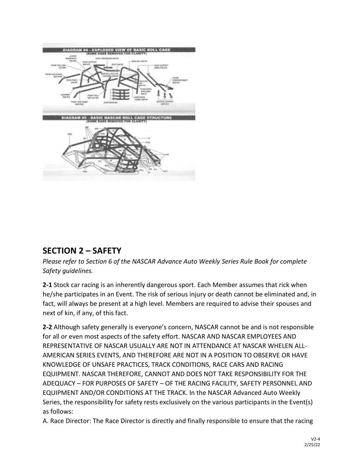

# **SECTION 2 – SAFETY**

*Please refer to Section 6 of the NASCAR Advance Auto Weekly Series Rule Book for complete Safety guidelines.*

**2-1** Stock car racing is an inherently dangerous sport. Each Member assumes that rick when he/she participates in an Event. The risk of serious injury or death cannot be eliminated and, in fact, will always be present at a high level. Members are required to advise their spouses and next of kin, if any, of this fact.

**2-2** Although safety generally is everyone's concern, NASCAR cannot be and is not responsible for all or even most aspects of the safety effort. NASCAR AND NASCAR EMPLOYEES AND REPRESENTATIVE OF NASCAR USUALLY ARE NOT IN ATTENDANCE AT NASCAR WHELEN ALL-AMERICAN SERIES EVENTS, AND THEREFORE ARE NOT IN A POSITION TO OBSERVE OR HAVE KNOWLEDGE OF UNSAFE PRACTICES, TRACK CONDITIONS, RACE CARS AND RACING EQUIPMENT. NASCAR THEREFORE, CANNOT AND DOES NOT TAKE RESPONSIBILITY FOR THE ADEQUACY – FOR PURPOSES OF SAFETY – OF THE RACING FACILITY, SAFETY PERSONNEL AND EQUIPMENT AND/OR CONDITIONS AT THE TRACK. In the NASCAR Advanced Auto Weekly Series, the responsibility for safety rests exclusively on the various participants in the Event(s) as follows:

A. Race Director: The Race Director is directly and finally responsible to ensure that the racing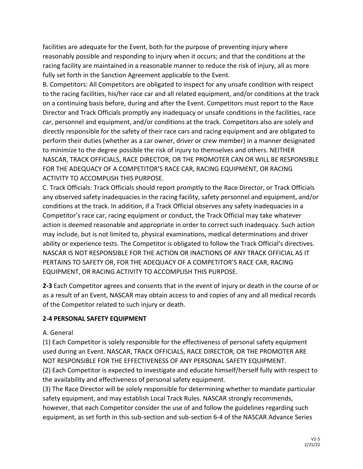facilities are adequate for the Event, both for the purpose of preventing injury where reasonably possible and responding to injury when it occurs; and that the conditions at the racing facility are maintained in a reasonable manner to reduce the risk of injury, all as more fully set forth in the Sanction Agreement applicable to the Event.

B. Competitors: All Competitors are obligated to inspect for any unsafe condition with respect to the racing facilities, his/her race car and all related equipment, and/or conditions at the track on a continuing basis before, during and after the Event. Competitors must report to the Race Director and Track Officials promptly any inadequacy or unsafe conditions in the facilities, race car, personnel and equipment, and/or conditions at the track. Competitors also are solely and directly responsible for the safety of their race cars and racing equipment and are obligated to perform their duties (whether as a car owner, driver or crew member) in a manner designated to minimize to the degree possible the risk of injury to themselves and others. NEITHER NASCAR, TRACK OFFICIALS, RACE DIRECTOR, OR THE PROMOTER CAN OR WILL BE RESPONSIBLE FOR THE ADEQUACY OF A COMPETITOR'S RACE CAR, RACING EQUIPMENT, OR RACING ACTIVITY TO ACCOMPLISH THIS PURPOSE.

C. Track Officials: Track Officials should report promptly to the Race Director, or Track Officials any observed safety inadequacies in the racing facility, safety personnel and equipment, and/or conditions at the track. In addition, if a Track Official observes any safety inadequacies in a Competitor's race car, racing equipment or conduct, the Track Official may take whatever action is deemed reasonable and appropriate in order to correct such inadequacy. Such action may include, but is not limited to, physical examinations, medical determinations and driver ability or experience tests. The Competitor is obligated to follow the Track Official's directives. NASCAR IS NOT RESPONSIBLE FOR THE ACTION OR INACTIONS OF ANY TRACK OFFICIAL AS IT PERTAINS TO SAFETY OR, FOR THE ADEQUACY OF A COMPETITOR'S RACE CAR, RACING EQUIPMENT, OR RACING ACTIVITY TO ACCOMPLISH THIS PURPOSE.

**2-3** Each Competitor agrees and consents that in the event of injury or death in the course of or as a result of an Event, NASCAR may obtain access to and copies of any and all medical records of the Competitor related to such injury or death.

## **2-4 PERSONAL SAFETY EQUIPMENT**

#### A. General

(1) Each Competitor is solely responsible for the effectiveness of personal safety equipment used during an Event. NASCAR, TRACK OFFICIALS, RACE DIRECTOR, OR THE PROMOTER ARE NOT RESPONSIBLE FOR THE EFFECTIVENESS OF ANY PERSONAL SAFETY EQUIPMENT.

(2) Each Competitor is expected to investigate and educate himself/herself fully with respect to the availability and effectiveness of personal safety equipment.

(3) The Race Director will be solely responsible for determining whether to mandate particular safety equipment, and may establish Local Track Rules. NASCAR strongly recommends, however, that each Competitor consider the use of and follow the guidelines regarding such equipment, as set forth in this sub-section and sub-section 6-4 of the NASCAR Advance Series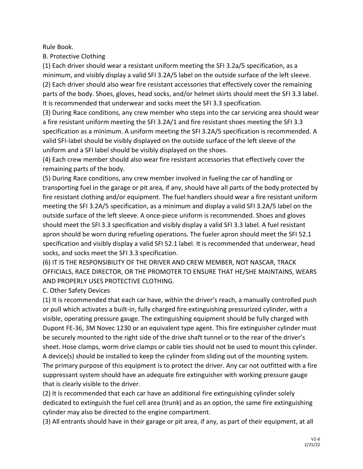Rule Book.

B. Protective Clothing

(1) Each driver should wear a resistant uniform meeting the SFI 3.2a/5 specification, as a minimum, and visibly display a valid SFI 3.2A/5 label on the outside surface of the left sleeve. (2) Each driver should also wear fire resistant accessories that effectively cover the remaining parts of the body. Shoes, gloves, head socks, and/or helmet skirts should meet the SFI 3.3 label. It is recommended that underwear and socks meet the SFI 3.3 specification.

(3) During Race conditions, any crew member who steps into the car servicing area should wear a fire resistant uniform meeting the SFI 3.2A/1 and fire resistant shoes meeting the SFI 3.3 specification as a minimum. A uniform meeting the SFI 3.2A/5 specification is recommended. A valid SFI-label should be visibly displayed on the outside surface of the left sleeve of the uniform and a SFI label should be visibly displayed on the shoes.

(4) Each crew member should also wear fire resistant accessories that effectively cover the remaining parts of the body.

(5) During Race conditions, any crew member involved in fueling the car of handling or transporting fuel in the garage or pit area, if any, should have all parts of the body protected by fire resistant clothing and/or equipment. The fuel handlers should wear a fire resistant uniform meeting the SFI 3.2A/5 specification, as a minimum and display a valid SFI 3.2A/5 label on the outside surface of the left sleeve. A once-piece uniform is recommended. Shoes and gloves should meet the SFI 3.3 specification and visibly display a valid SFI 3.3 label. A fuel resistant apron should be worn during refueling operations. The fueler apron should meet the SFI 52.1 specification and visibly display a valid SFI 52.1 label. It is recommended that underwear, head socks, and socks meet the SFI 3.3 specification.

(6) IT IS THE RESPONSIBILITY OF THE DRIVER AND CREW MEMBER, NOT NASCAR, TRACK OFFICIALS, RACE DIRECTOR, OR THE PROMOTER TO ENSURE THAT HE/SHE MAINTAINS, WEARS AND PROPERLY USES PROTECTIVE CLOTHING.

C. Other Safety Devices

(1) It is recommended that each car have, within the driver's reach, a manually controlled push or pull which activates a built-in, fully charged fire extinguishing pressurized cylinder, with a visible, operating pressure gauge. The extinguishing equipment should be fully charged with Dupont FE-36, 3M Novec 1230 or an equivalent type agent. This fire extinguisher cylinder must be securely mounted to the right side of the drive shaft tunnel or to the rear of the driver's sheet. Hose clamps, worm drive clamps or cable ties should not be used to mount this cylinder. A device(s) should be installed to keep the cylinder from sliding out of the mounting system. The primary purpose of this equipment is to protect the driver. Any car not outfitted with a fire suppressant system should have an adequate fire extinguisher with working pressure gauge that is clearly visible to the driver.

(2) It is recommended that each car have an additional fire extinguishing cylinder solely dedicated to extinguish the fuel cell area (trunk) and as an option, the same fire extinguishing cylinder may also be directed to the engine compartment.

(3) All entrants should have in their garage or pit area, if any, as part of their equipment, at all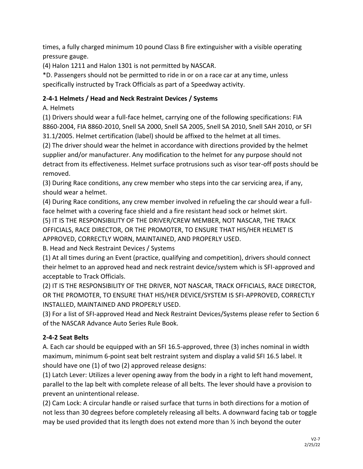times, a fully charged minimum 10 pound Class B fire extinguisher with a visible operating pressure gauge.

(4) Halon 1211 and Halon 1301 is not permitted by NASCAR.

\*D. Passengers should not be permitted to ride in or on a race car at any time, unless specifically instructed by Track Officials as part of a Speedway activity.

#### **2-4-1 Helmets / Head and Neck Restraint Devices / Systems**

A. Helmets

(1) Drivers should wear a full-face helmet, carrying one of the following specifications: FIA 8860-2004, FIA 8860-2010, Snell SA 2000, Snell SA 2005, Snell SA 2010, Snell SAH 2010, or SFI 31.1/2005. Helmet certification (label) should be affixed to the helmet at all times.

(2) The driver should wear the helmet in accordance with directions provided by the helmet supplier and/or manufacturer. Any modification to the helmet for any purpose should not detract from its effectiveness. Helmet surface protrusions such as visor tear-off posts should be removed.

(3) During Race conditions, any crew member who steps into the car servicing area, if any, should wear a helmet.

(4) During Race conditions, any crew member involved in refueling the car should wear a fullface helmet with a covering face shield and a fire resistant head sock or helmet skirt. (5) IT IS THE RESPONSIBILITY OF THE DRIVER/CREW MEMBER, NOT NASCAR, THE TRACK

OFFICIALS, RACE DIRECTOR, OR THE PROMOTER, TO ENSURE THAT HIS/HER HELMET IS APPROVED, CORRECTLY WORN, MAINTAINED, AND PROPERLY USED.

B. Head and Neck Restraint Devices / Systems

(1) At all times during an Event (practice, qualifying and competition), drivers should connect their helmet to an approved head and neck restraint device/system which is SFI-approved and acceptable to Track Officials.

(2) IT IS THE RESPONSIBILITY OF THE DRIVER, NOT NASCAR, TRACK OFFICIALS, RACE DIRECTOR, OR THE PROMOTER, TO ENSURE THAT HIS/HER DEVICE/SYSTEM IS SFI-APPROVED, CORRECTLY INSTALLED, MAINTAINED AND PROPERLY USED.

(3) For a list of SFI-approved Head and Neck Restraint Devices/Systems please refer to Section 6 of the NASCAR Advance Auto Series Rule Book.

## **2-4-2 Seat Belts**

A. Each car should be equipped with an SFI 16.5-approved, three (3) inches nominal in width maximum, minimum 6-point seat belt restraint system and display a valid SFI 16.5 label. It should have one (1) of two (2) approved release designs:

(1) Latch Lever: Utilizes a lever opening away from the body in a right to left hand movement, parallel to the lap belt with complete release of all belts. The lever should have a provision to prevent an unintentional release.

(2) Cam Lock: A circular handle or raised surface that turns in both directions for a motion of not less than 30 degrees before completely releasing all belts. A downward facing tab or toggle may be used provided that its length does not extend more than  $\frac{1}{2}$  inch beyond the outer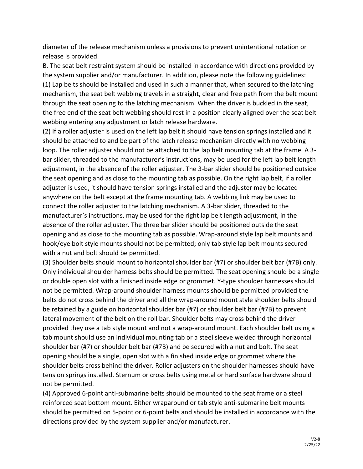diameter of the release mechanism unless a provisions to prevent unintentional rotation or release is provided.

B. The seat belt restraint system should be installed in accordance with directions provided by the system supplier and/or manufacturer. In addition, please note the following guidelines: (1) Lap belts should be installed and used in such a manner that, when secured to the latching mechanism, the seat belt webbing travels in a straight, clear and free path from the belt mount through the seat opening to the latching mechanism. When the driver is buckled in the seat, the free end of the seat belt webbing should rest in a position clearly aligned over the seat belt webbing entering any adjustment or latch release hardware.

(2) If a roller adjuster is used on the left lap belt it should have tension springs installed and it should be attached to and be part of the latch release mechanism directly with no webbing loop. The roller adjuster should not be attached to the lap belt mounting tab at the frame. A 3 bar slider, threaded to the manufacturer's instructions, may be used for the left lap belt length adjustment, in the absence of the roller adjuster. The 3-bar slider should be positioned outside the seat opening and as close to the mounting tab as possible. On the right lap belt, if a roller adjuster is used, it should have tension springs installed and the adjuster may be located anywhere on the belt except at the frame mounting tab. A webbing link may be used to connect the roller adjuster to the latching mechanism. A 3-bar slider, threaded to the manufacturer's instructions, may be used for the right lap belt length adjustment, in the absence of the roller adjuster. The three bar slider should be positioned outside the seat opening and as close to the mounting tab as possible. Wrap-around style lap belt mounts and hook/eye bolt style mounts should not be permitted; only tab style lap belt mounts secured with a nut and bolt should be permitted.

(3) Shoulder belts should mount to horizontal shoulder bar (#7) or shoulder belt bar (#7B) only. Only individual shoulder harness belts should be permitted. The seat opening should be a single or double open slot with a finished inside edge or grommet. Y-type shoulder harnesses should not be permitted. Wrap-around shoulder harness mounts should be permitted provided the belts do not cross behind the driver and all the wrap-around mount style shoulder belts should be retained by a guide on horizontal shoulder bar (#7) or shoulder belt bar (#7B) to prevent lateral movement of the belt on the roll bar. Shoulder belts may cross behind the driver provided they use a tab style mount and not a wrap-around mount. Each shoulder belt using a tab mount should use an individual mounting tab or a steel sleeve welded through horizontal shoulder bar (#7) or shoulder belt bar (#7B) and be secured with a nut and bolt. The seat opening should be a single, open slot with a finished inside edge or grommet where the shoulder belts cross behind the driver. Roller adjusters on the shoulder harnesses should have tension springs installed. Sternum or cross belts using metal or hard surface hardware should not be permitted.

(4) Approved 6-point anti-submarine belts should be mounted to the seat frame or a steel reinforced seat bottom mount. Either wraparound or tab style anti-submarine belt mounts should be permitted on 5-point or 6-point belts and should be installed in accordance with the directions provided by the system supplier and/or manufacturer.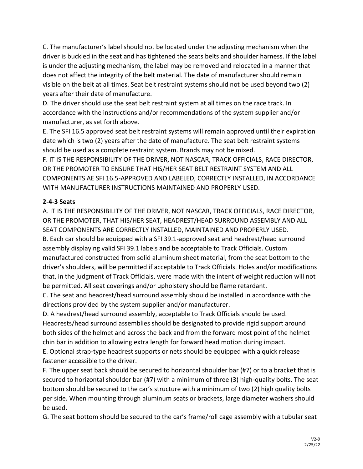C. The manufacturer's label should not be located under the adjusting mechanism when the driver is buckled in the seat and has tightened the seats belts and shoulder harness. If the label is under the adjusting mechanism, the label may be removed and relocated in a manner that does not affect the integrity of the belt material. The date of manufacturer should remain visible on the belt at all times. Seat belt restraint systems should not be used beyond two (2) years after their date of manufacture.

D. The driver should use the seat belt restraint system at all times on the race track. In accordance with the instructions and/or recommendations of the system supplier and/or manufacturer, as set forth above.

E. The SFI 16.5 approved seat belt restraint systems will remain approved until their expiration date which is two (2) years after the date of manufacture. The seat belt restraint systems should be used as a complete restraint system. Brands may not be mixed.

F. IT IS THE RESPONSIBILITY OF THE DRIVER, NOT NASCAR, TRACK OFFICIALS, RACE DIRECTOR, OR THE PROMOTER TO ENSURE THAT HIS/HER SEAT BELT RESTRAINT SYSTEM AND ALL COMPONENTS AE SFI 16.5-APPROVED AND LABELED, CORRECTLY INSTALLED, IN ACCORDANCE WITH MANUFACTURER INSTRUCTIONS MAINTAINED AND PROPERLY USED.

## **2-4-3 Seats**

A. IT IS THE RESPONSIBILITY OF THE DRIVER, NOT NASCAR, TRACK OFFICIALS, RACE DIRECTOR, OR THE PROMOTER, THAT HIS/HER SEAT, HEADREST/HEAD SURROUND ASSEMBLY AND ALL SEAT COMPONENTS ARE CORRECTLY INSTALLED, MAINTAINED AND PROPERLY USED. B. Each car should be equipped with a SFI 39.1-approved seat and headrest/head surround assembly displaying valid SFI 39.1 labels and be acceptable to Track Officials. Custom manufactured constructed from solid aluminum sheet material, from the seat bottom to the driver's shoulders, will be permitted if acceptable to Track Officials. Holes and/or modifications that, in the judgment of Track Officials, were made with the intent of weight reduction will not be permitted. All seat coverings and/or upholstery should be flame retardant.

C. The seat and headrest/head surround assembly should be installed in accordance with the directions provided by the system supplier and/or manufacturer.

D. A headrest/head surround assembly, acceptable to Track Officials should be used. Headrests/head surround assemblies should be designated to provide rigid support around both sides of the helmet and across the back and from the forward most point of the helmet chin bar in addition to allowing extra length for forward head motion during impact.

E. Optional strap-type headrest supports or nets should be equipped with a quick release fastener accessible to the driver.

F. The upper seat back should be secured to horizontal shoulder bar (#7) or to a bracket that is secured to horizontal shoulder bar (#7) with a minimum of three (3) high-quality bolts. The seat bottom should be secured to the car's structure with a minimum of two (2) high quality bolts per side. When mounting through aluminum seats or brackets, large diameter washers should be used.

G. The seat bottom should be secured to the car's frame/roll cage assembly with a tubular seat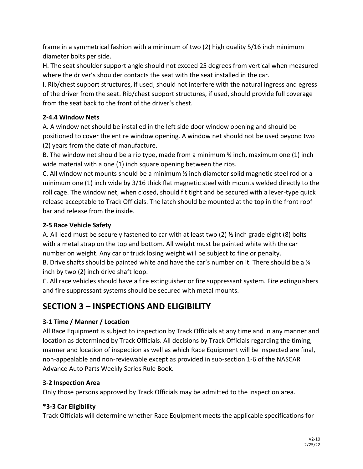frame in a symmetrical fashion with a minimum of two (2) high quality 5/16 inch minimum diameter bolts per side.

H. The seat shoulder support angle should not exceed 25 degrees from vertical when measured where the driver's shoulder contacts the seat with the seat installed in the car.

I. Rib/chest support structures, if used, should not interfere with the natural ingress and egress of the driver from the seat. Rib/chest support structures, if used, should provide full coverage from the seat back to the front of the driver's chest.

## **2-4.4 Window Nets**

A. A window net should be installed in the left side door window opening and should be positioned to cover the entire window opening. A window net should not be used beyond two (2) years from the date of manufacture.

B. The window net should be a rib type, made from a minimum  $\frac{3}{4}$  inch, maximum one (1) inch wide material with a one (1) inch square opening between the ribs.

C. All window net mounts should be a minimum ½ inch diameter solid magnetic steel rod or a minimum one (1) inch wide by 3/16 thick flat magnetic steel with mounts welded directly to the roll cage. The window net, when closed, should fit tight and be secured with a lever-type quick release acceptable to Track Officials. The latch should be mounted at the top in the front roof bar and release from the inside.

## **2-5 Race Vehicle Safety**

A. All lead must be securely fastened to car with at least two (2) ½ inch grade eight (8) bolts with a metal strap on the top and bottom. All weight must be painted white with the car number on weight. Any car or truck losing weight will be subject to fine or penalty. B. Drive shafts should be painted white and have the car's number on it. There should be a  $\frac{1}{4}$ inch by two (2) inch drive shaft loop.

C. All race vehicles should have a fire extinguisher or fire suppressant system. Fire extinguishers and fire suppressant systems should be secured with metal mounts.

# **SECTION 3 – INSPECTIONS AND ELIGIBILITY**

## **3-1 Time / Manner / Location**

All Race Equipment is subject to inspection by Track Officials at any time and in any manner and location as determined by Track Officials. All decisions by Track Officials regarding the timing, manner and location of inspection as well as which Race Equipment will be inspected are final, non-appealable and non-reviewable except as provided in sub-section 1-6 of the NASCAR Advance Auto Parts Weekly Series Rule Book.

## **3-2 Inspection Area**

Only those persons approved by Track Officials may be admitted to the inspection area.

## **\*3-3 Car Eligibility**

Track Officials will determine whether Race Equipment meets the applicable specifications for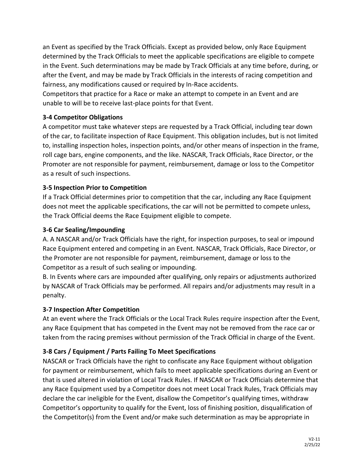an Event as specified by the Track Officials. Except as provided below, only Race Equipment determined by the Track Officials to meet the applicable specifications are eligible to compete in the Event. Such determinations may be made by Track Officials at any time before, during, or after the Event, and may be made by Track Officials in the interests of racing competition and fairness, any modifications caused or required by In-Race accidents.

Competitors that practice for a Race or make an attempt to compete in an Event and are unable to will be to receive last-place points for that Event.

## **3-4 Competitor Obligations**

A competitor must take whatever steps are requested by a Track Official, including tear down of the car, to facilitate inspection of Race Equipment. This obligation includes, but is not limited to, installing inspection holes, inspection points, and/or other means of inspection in the frame, roll cage bars, engine components, and the like. NASCAR, Track Officials, Race Director, or the Promoter are not responsible for payment, reimbursement, damage or loss to the Competitor as a result of such inspections.

#### **3-5 Inspection Prior to Competition**

If a Track Official determines prior to competition that the car, including any Race Equipment does not meet the applicable specifications, the car will not be permitted to compete unless, the Track Official deems the Race Equipment eligible to compete.

#### **3-6 Car Sealing/Impounding**

A. A NASCAR and/or Track Officials have the right, for inspection purposes, to seal or impound Race Equipment entered and competing in an Event. NASCAR, Track Officials, Race Director, or the Promoter are not responsible for payment, reimbursement, damage or loss to the Competitor as a result of such sealing or impounding.

B. In Events where cars are impounded after qualifying, only repairs or adjustments authorized by NASCAR of Track Officials may be performed. All repairs and/or adjustments may result in a penalty.

#### **3-7 Inspection After Competition**

At an event where the Track Officials or the Local Track Rules require inspection after the Event, any Race Equipment that has competed in the Event may not be removed from the race car or taken from the racing premises without permission of the Track Official in charge of the Event.

## **3-8 Cars / Equipment / Parts Failing To Meet Specifications**

NASCAR or Track Officials have the right to confiscate any Race Equipment without obligation for payment or reimbursement, which fails to meet applicable specifications during an Event or that is used altered in violation of Local Track Rules. If NASCAR or Track Officials determine that any Race Equipment used by a Competitor does not meet Local Track Rules, Track Officials may declare the car ineligible for the Event, disallow the Competitor's qualifying times, withdraw Competitor's opportunity to qualify for the Event, loss of finishing position, disqualification of the Competitor(s) from the Event and/or make such determination as may be appropriate in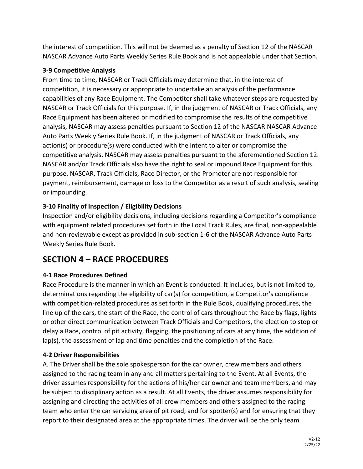the interest of competition. This will not be deemed as a penalty of Section 12 of the NASCAR NASCAR Advance Auto Parts Weekly Series Rule Book and is not appealable under that Section.

#### **3-9 Competitive Analysis**

From time to time, NASCAR or Track Officials may determine that, in the interest of competition, it is necessary or appropriate to undertake an analysis of the performance capabilities of any Race Equipment. The Competitor shall take whatever steps are requested by NASCAR or Track Officials for this purpose. If, in the judgment of NASCAR or Track Officials, any Race Equipment has been altered or modified to compromise the results of the competitive analysis, NASCAR may assess penalties pursuant to Section 12 of the NASCAR NASCAR Advance Auto Parts Weekly Series Rule Book. If, in the judgment of NASCAR or Track Officials, any action(s) or procedure(s) were conducted with the intent to alter or compromise the competitive analysis, NASCAR may assess penalties pursuant to the aforementioned Section 12. NASCAR and/or Track Officials also have the right to seal or impound Race Equipment for this purpose. NASCAR, Track Officials, Race Director, or the Promoter are not responsible for payment, reimbursement, damage or loss to the Competitor as a result of such analysis, sealing or impounding.

## **3-10 Finality of Inspection / Eligibility Decisions**

Inspection and/or eligibility decisions, including decisions regarding a Competitor's compliance with equipment related procedures set forth in the Local Track Rules, are final, non-appealable and non-reviewable except as provided in sub-section 1-6 of the NASCAR Advance Auto Parts Weekly Series Rule Book.

# **SECTION 4 – RACE PROCEDURES**

## **4-1 Race Procedures Defined**

Race Procedure is the manner in which an Event is conducted. It includes, but is not limited to, determinations regarding the eligibility of car(s) for competition, a Competitor's compliance with competition-related procedures as set forth in the Rule Book, qualifying procedures, the line up of the cars, the start of the Race, the control of cars throughout the Race by flags, lights or other direct communication between Track Officials and Competitors, the election to stop or delay a Race, control of pit activity, flagging, the positioning of cars at any time, the addition of lap(s), the assessment of lap and time penalties and the completion of the Race.

#### **4-2 Driver Responsibilities**

A. The Driver shall be the sole spokesperson for the car owner, crew members and others assigned to the racing team in any and all matters pertaining to the Event. At all Events, the driver assumes responsibility for the actions of his/her car owner and team members, and may be subject to disciplinary action as a result. At all Events, the driver assumes responsibility for assigning and directing the activities of all crew members and others assigned to the racing team who enter the car servicing area of pit road, and for spotter(s) and for ensuring that they report to their designated area at the appropriate times. The driver will be the only team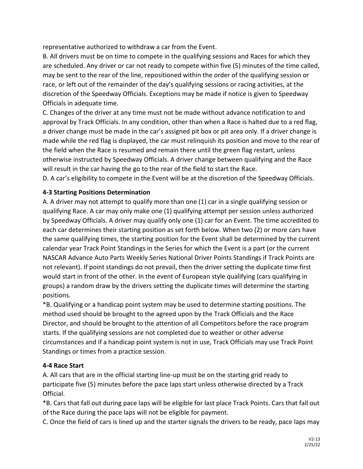representative authorized to withdraw a car from the Event.

B. All drivers must be on time to compete in the qualifying sessions and Races for which they are scheduled. Any driver or car not ready to compete within five (5) minutes of the time called, may be sent to the rear of the line, repositioned within the order of the qualifying session or race, or left out of the remainder of the day's qualifying sessions or racing activities, at the discretion of the Speedway Officials. Exceptions may be made if notice is given to Speedway Officials in adequate time.

C. Changes of the driver at any time must not be made without advance notification to and approval by Track Officials. In any condition, other than when a Race is halted due to a red flag, a driver change must be made in the car's assigned pit box or pit area only. If a driver change is made while the red flag is displayed, the car must relinquish its position and move to the rear of the field when the Race is resumed and remain there until the green flag restart, unless otherwise instructed by Speedway Officials. A driver change between qualifying and the Race will result in the car having the go to the rear of the field to start the Race.

D. A car's eligibility to compete in the Event will be at the discretion of the Speedway Officials.

## **4-3 Starting Positions Determination**

A. A driver may not attempt to qualify more than one (1) car in a single qualifying session or qualifying Race. A car may only make one (1) qualifying attempt per session unless authorized by Speedway Officials. A driver may qualify only one (1) car for an Event. The time accredited to each car determines their starting position as set forth below. When two (2) or more cars have the same qualifying times, the starting position for the Event shall be determined by the current calendar year Track Point Standings in the Series for which the Event is a part (or the current NASCAR Advance Auto Parts Weekly Series National Driver Points Standings if Track Points are not relevant). If point standings do not prevail, then the driver setting the duplicate time first would start in front of the other. In the event of European style qualifying (cars qualifying in groups) a random draw by the drivers setting the duplicate times will determine the starting positions.

\*B. Qualifying or a handicap point system may be used to determine starting positions. The method used should be brought to the agreed upon by the Track Officials and the Race Director, and should be brought to the attention of all Competitors before the race program starts. If the qualifying sessions are not completed due to weather or other adverse circumstances and if a handicap point system is not in use, Track Officials may use Track Point Standings or times from a practice session.

## **4-4 Race Start**

A. All cars that are in the official starting line-up must be on the starting grid ready to participate five (5) minutes before the pace laps start unless otherwise directed by a Track Official.

\*B. Cars that fall out during pace laps will be eligible for last place Track Points. Cars that fall out of the Race during the pace laps will not be eligible for payment.

C. Once the field of cars is lined up and the starter signals the drivers to be ready, pace laps may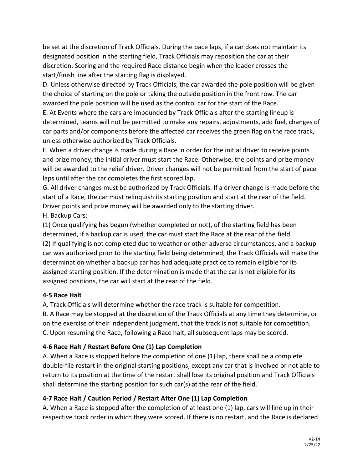be set at the discretion of Track Officials. During the pace laps, if a car does not maintain its designated position in the starting field, Track Officials may reposition the car at their discretion. Scoring and the required Race distance begin when the leader crosses the start/finish line after the starting flag is displayed.

D. Unless otherwise directed by Track Officials, the car awarded the pole position will be given the choice of starting on the pole or taking the outside position in the front row. The car awarded the pole position will be used as the control car for the start of the Race.

E. At Events where the cars are impounded by Track Officials after the starting lineup is determined, teams will not be permitted to make any repairs, adjustments, add fuel, changes of car parts and/or components before the affected car receives the green flag on the race track, unless otherwise authorized by Track Officials.

F. When a driver change is made during a Race in order for the initial driver to receive points and prize money, the initial driver must start the Race. Otherwise, the points and prize money will be awarded to the relief driver. Driver changes will not be permitted from the start of pace laps until after the car completes the first scored lap.

G. All driver changes must be authorized by Track Officials. If a driver change is made before the start of a Race, the car must relinquish its starting position and start at the rear of the field. Driver points and prize money will be awarded only to the starting driver. H. Backup Cars:

(1) Once qualifying has begun (whether completed or not), of the starting field has been determined, if a backup car is used, the car must start the Race at the rear of the field. (2) If qualifying is not completed due to weather or other adverse circumstances, and a backup car was authorized prior to the starting field being determined, the Track Officials will make the determination whether a backup car has had adequate practice to remain eligible for its assigned starting position. If the determination is made that the car is not eligible for its assigned positions, the car will start at the rear of the field.

## **4-5 Race Halt**

A. Track Officials will determine whether the race track is suitable for competition.

B. A Race may be stopped at the discretion of the Track Officials at any time they determine, or on the exercise of their independent judgment, that the track is not suitable for competition. C. Upon resuming the Race, following a Race halt, all subsequent laps may be scored.

## **4-6 Race Halt / Restart Before One (1) Lap Completion**

A. When a Race is stopped before the completion of one (1) lap, there shall be a complete double-file restart in the original starting positions, except any car that is involved or not able to return to its position at the time of the restart shall lose its original position and Track Officials shall determine the starting position for such car(s) at the rear of the field.

## **4-7 Race Halt / Caution Period / Restart After One (1) Lap Completion**

A. When a Race is stopped after the completion of at least one (1) lap, cars will line up in their respective track order in which they were scored. If there is no restart, and the Race is declared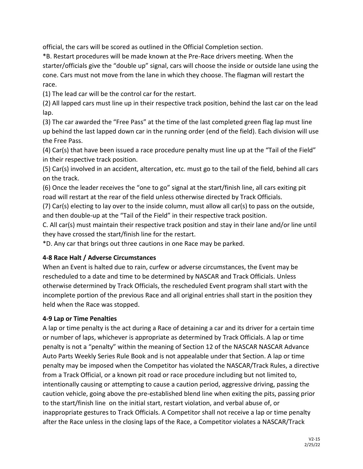official, the cars will be scored as outlined in the Official Completion section.

\*B. Restart procedures will be made known at the Pre-Race drivers meeting. When the starter/officials give the "double up" signal, cars will choose the inside or outside lane using the cone. Cars must not move from the lane in which they choose. The flagman will restart the race.

(1) The lead car will be the control car for the restart.

(2) All lapped cars must line up in their respective track position, behind the last car on the lead lap.

(3) The car awarded the "Free Pass" at the time of the last completed green flag lap must line up behind the last lapped down car in the running order (end of the field). Each division will use the Free Pass.

(4) Car(s) that have been issued a race procedure penalty must line up at the "Tail of the Field" in their respective track position.

(5) Car(s) involved in an accident, altercation, etc. must go to the tail of the field, behind all cars on the track.

(6) Once the leader receives the "one to go" signal at the start/finish line, all cars exiting pit road will restart at the rear of the field unless otherwise directed by Track Officials.

(7) Car(s) electing to lay over to the inside column, must allow all car(s) to pass on the outside, and then double-up at the "Tail of the Field" in their respective track position.

C. All car(s) must maintain their respective track position and stay in their lane and/or line until they have crossed the start/finish line for the restart.

\*D. Any car that brings out three cautions in one Race may be parked.

## **4-8 Race Halt / Adverse Circumstances**

When an Event is halted due to rain, curfew or adverse circumstances, the Event may be rescheduled to a date and time to be determined by NASCAR and Track Officials. Unless otherwise determined by Track Officials, the rescheduled Event program shall start with the incomplete portion of the previous Race and all original entries shall start in the position they held when the Race was stopped.

#### **4-9 Lap or Time Penalties**

A lap or time penalty is the act during a Race of detaining a car and its driver for a certain time or number of laps, whichever is appropriate as determined by Track Officials. A lap or time penalty is not a "penalty" within the meaning of Section 12 of the NASCAR NASCAR Advance Auto Parts Weekly Series Rule Book and is not appealable under that Section. A lap or time penalty may be imposed when the Competitor has violated the NASCAR/Track Rules, a directive from a Track Official, or a known pit road or race procedure including but not limited to, intentionally causing or attempting to cause a caution period, aggressive driving, passing the caution vehicle, going above the pre-established blend line when exiting the pits, passing prior to the start/finish line on the initial start, restart violation, and verbal abuse of, or inappropriate gestures to Track Officials. A Competitor shall not receive a lap or time penalty after the Race unless in the closing laps of the Race, a Competitor violates a NASCAR/Track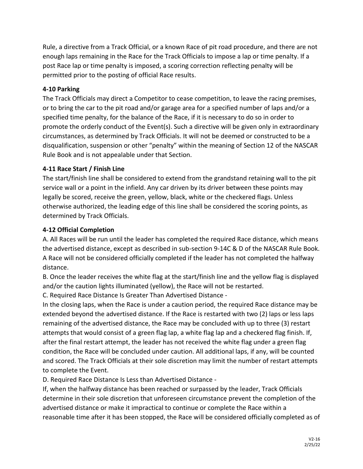Rule, a directive from a Track Official, or a known Race of pit road procedure, and there are not enough laps remaining in the Race for the Track Officials to impose a lap or time penalty. If a post Race lap or time penalty is imposed, a scoring correction reflecting penalty will be permitted prior to the posting of official Race results.

#### **4-10 Parking**

The Track Officials may direct a Competitor to cease competition, to leave the racing premises, or to bring the car to the pit road and/or garage area for a specified number of laps and/or a specified time penalty, for the balance of the Race, if it is necessary to do so in order to promote the orderly conduct of the Event(s). Such a directive will be given only in extraordinary circumstances, as determined by Track Officials. It will not be deemed or constructed to be a disqualification, suspension or other "penalty" within the meaning of Section 12 of the NASCAR Rule Book and is not appealable under that Section.

#### **4-11 Race Start / Finish Line**

The start/finish line shall be considered to extend from the grandstand retaining wall to the pit service wall or a point in the infield. Any car driven by its driver between these points may legally be scored, receive the green, yellow, black, white or the checkered flags. Unless otherwise authorized, the leading edge of this line shall be considered the scoring points, as determined by Track Officials.

#### **4-12 Official Completion**

A. All Races will be run until the leader has completed the required Race distance, which means the advertised distance, except as described in sub-section 9-14C & D of the NASCAR Rule Book. A Race will not be considered officially completed if the leader has not completed the halfway distance.

B. Once the leader receives the white flag at the start/finish line and the yellow flag is displayed and/or the caution lights illuminated (yellow), the Race will not be restarted.

C. Required Race Distance Is Greater Than Advertised Distance -

In the closing laps, when the Race is under a caution period, the required Race distance may be extended beyond the advertised distance. If the Race is restarted with two (2) laps or less laps remaining of the advertised distance, the Race may be concluded with up to three (3) restart attempts that would consist of a green flag lap, a white flag lap and a checkered flag finish. If, after the final restart attempt, the leader has not received the white flag under a green flag condition, the Race will be concluded under caution. All additional laps, if any, will be counted and scored. The Track Officials at their sole discretion may limit the number of restart attempts to complete the Event.

D. Required Race Distance Is Less than Advertised Distance -

If, when the halfway distance has been reached or surpassed by the leader, Track Officials determine in their sole discretion that unforeseen circumstance prevent the completion of the advertised distance or make it impractical to continue or complete the Race within a reasonable time after it has been stopped, the Race will be considered officially completed as of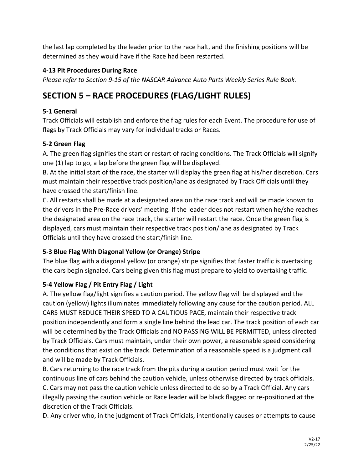the last lap completed by the leader prior to the race halt, and the finishing positions will be determined as they would have if the Race had been restarted.

## **4-13 Pit Procedures During Race**

*Please refer to Section 9-15 of the NASCAR Advance Auto Parts Weekly Series Rule Book.*

# **SECTION 5 – RACE PROCEDURES (FLAG/LIGHT RULES)**

## **5-1 General**

Track Officials will establish and enforce the flag rules for each Event. The procedure for use of flags by Track Officials may vary for individual tracks or Races.

## **5-2 Green Flag**

A. The green flag signifies the start or restart of racing conditions. The Track Officials will signify one (1) lap to go, a lap before the green flag will be displayed.

B. At the initial start of the race, the starter will display the green flag at his/her discretion. Cars must maintain their respective track position/lane as designated by Track Officials until they have crossed the start/finish line.

C. All restarts shall be made at a designated area on the race track and will be made known to the drivers in the Pre-Race drivers' meeting. If the leader does not restart when he/she reaches the designated area on the race track, the starter will restart the race. Once the green flag is displayed, cars must maintain their respective track position/lane as designated by Track Officials until they have crossed the start/finish line.

## **5-3 Blue Flag With Diagonal Yellow (or Orange) Stripe**

The blue flag with a diagonal yellow (or orange) stripe signifies that faster traffic is overtaking the cars begin signaled. Cars being given this flag must prepare to yield to overtaking traffic.

## **5-4 Yellow Flag / Pit Entry Flag / Light**

A. The yellow flag/light signifies a caution period. The yellow flag will be displayed and the caution (yellow) lights illuminates immediately following any cause for the caution period. ALL CARS MUST REDUCE THEIR SPEED TO A CAUTIOUS PACE, maintain their respective track position independently and form a single line behind the lead car. The track position of each car will be determined by the Track Officials and NO PASSING WILL BE PERMITTED, unless directed by Track Officials. Cars must maintain, under their own power, a reasonable speed considering the conditions that exist on the track. Determination of a reasonable speed is a judgment call and will be made by Track Officials.

B. Cars returning to the race track from the pits during a caution period must wait for the continuous line of cars behind the caution vehicle, unless otherwise directed by track officials. C. Cars may not pass the caution vehicle unless directed to do so by a Track Official. Any cars illegally passing the caution vehicle or Race leader will be black flagged or re-positioned at the discretion of the Track Officials.

D. Any driver who, in the judgment of Track Officials, intentionally causes or attempts to cause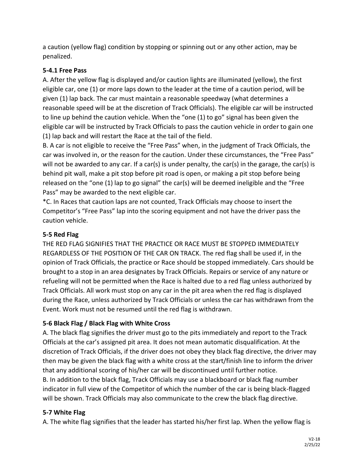a caution (yellow flag) condition by stopping or spinning out or any other action, may be penalized.

#### **5-4.1 Free Pass**

A. After the yellow flag is displayed and/or caution lights are illuminated (yellow), the first eligible car, one (1) or more laps down to the leader at the time of a caution period, will be given (1) lap back. The car must maintain a reasonable speedway (what determines a reasonable speed will be at the discretion of Track Officials). The eligible car will be instructed to line up behind the caution vehicle. When the "one (1) to go" signal has been given the eligible car will be instructed by Track Officials to pass the caution vehicle in order to gain one (1) lap back and will restart the Race at the tail of the field.

B. A car is not eligible to receive the "Free Pass" when, in the judgment of Track Officials, the car was involved in, or the reason for the caution. Under these circumstances, the "Free Pass" will not be awarded to any car. If a car(s) is under penalty, the car(s) in the garage, the car(s) is behind pit wall, make a pit stop before pit road is open, or making a pit stop before being released on the "one (1) lap to go signal" the car(s) will be deemed ineligible and the "Free Pass" may be awarded to the next eligible car.

\*C. In Races that caution laps are not counted, Track Officials may choose to insert the Competitor's "Free Pass" lap into the scoring equipment and not have the driver pass the caution vehicle.

## **5-5 Red Flag**

THE RED FLAG SIGNIFIES THAT THE PRACTICE OR RACE MUST BE STOPPED IMMEDIATELY REGARDLESS OF THE POSITION OF THE CAR ON TRACK. The red flag shall be used if, in the opinion of Track Officials, the practice or Race should be stopped immediately. Cars should be brought to a stop in an area designates by Track Officials. Repairs or service of any nature or refueling will not be permitted when the Race is halted due to a red flag unless authorized by Track Officials. All work must stop on any car in the pit area when the red flag is displayed during the Race, unless authorized by Track Officials or unless the car has withdrawn from the Event. Work must not be resumed until the red flag is withdrawn.

## **5-6 Black Flag / Black Flag with White Cross**

A. The black flag signifies the driver must go to the pits immediately and report to the Track Officials at the car's assigned pit area. It does not mean automatic disqualification. At the discretion of Track Officials, if the driver does not obey they black flag directive, the driver may then may be given the black flag with a white cross at the start/finish line to inform the driver that any additional scoring of his/her car will be discontinued until further notice. B. In addition to the black flag, Track Officials may use a blackboard or black flag number indicator in full view of the Competitor of which the number of the car is being black-flagged will be shown. Track Officials may also communicate to the crew the black flag directive.

## **5-7 White Flag**

A. The white flag signifies that the leader has started his/her first lap. When the yellow flag is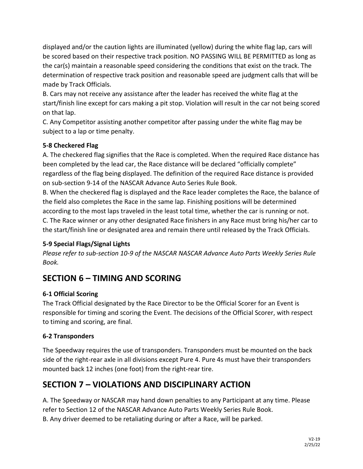displayed and/or the caution lights are illuminated (yellow) during the white flag lap, cars will be scored based on their respective track position. NO PASSING WILL BE PERMITTED as long as the car(s) maintain a reasonable speed considering the conditions that exist on the track. The determination of respective track position and reasonable speed are judgment calls that will be made by Track Officials.

B. Cars may not receive any assistance after the leader has received the white flag at the start/finish line except for cars making a pit stop. Violation will result in the car not being scored on that lap.

C. Any Competitor assisting another competitor after passing under the white flag may be subject to a lap or time penalty.

## **5-8 Checkered Flag**

A. The checkered flag signifies that the Race is completed. When the required Race distance has been completed by the lead car, the Race distance will be declared "officially complete" regardless of the flag being displayed. The definition of the required Race distance is provided on sub-section 9-14 of the NASCAR Advance Auto Series Rule Book.

B. When the checkered flag is displayed and the Race leader completes the Race, the balance of the field also completes the Race in the same lap. Finishing positions will be determined according to the most laps traveled in the least total time, whether the car is running or not. C. The Race winner or any other designated Race finishers in any Race must bring his/her car to the start/finish line or designated area and remain there until released by the Track Officials.

## **5-9 Special Flags/Signal Lights**

*Please refer to sub-section 10-9 of the NASCAR NASCAR Advance Auto Parts Weekly Series Rule Book.*

# **SECTION 6 – TIMING AND SCORING**

## **6-1 Official Scoring**

The Track Official designated by the Race Director to be the Official Scorer for an Event is responsible for timing and scoring the Event. The decisions of the Official Scorer, with respect to timing and scoring, are final.

## **6-2 Transponders**

The Speedway requires the use of transponders. Transponders must be mounted on the back side of the right-rear axle in all divisions except Pure 4. Pure 4s must have their transponders mounted back 12 inches (one foot) from the right-rear tire.

# **SECTION 7 – VIOLATIONS AND DISCIPLINARY ACTION**

A. The Speedway or NASCAR may hand down penalties to any Participant at any time. Please refer to Section 12 of the NASCAR Advance Auto Parts Weekly Series Rule Book. B. Any driver deemed to be retaliating during or after a Race, will be parked.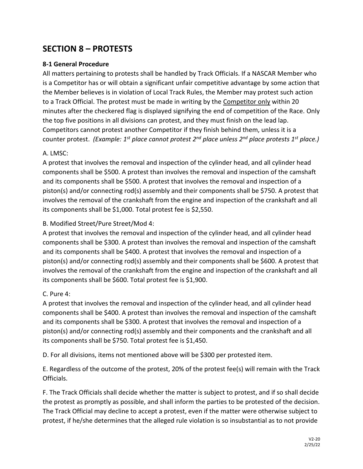## **SECTION 8 – PROTESTS**

#### **8-1 General Procedure**

All matters pertaining to protests shall be handled by Track Officials. If a NASCAR Member who is a Competitor has or will obtain a significant unfair competitive advantage by some action that the Member believes is in violation of Local Track Rules, the Member may protest such action to a Track Official. The protest must be made in writing by the Competitor only within 20 minutes after the checkered flag is displayed signifying the end of competition of the Race. Only the top five positions in all divisions can protest, and they must finish on the lead lap. Competitors cannot protest another Competitor if they finish behind them, unless it is a counter protest. *(Example: 1st place cannot protest 2nd place unless 2nd place protests 1st place.)*

#### A. LMSC:

A protest that involves the removal and inspection of the cylinder head, and all cylinder head components shall be \$500. A protest than involves the removal and inspection of the camshaft and its components shall be \$500. A protest that involves the removal and inspection of a piston(s) and/or connecting rod(s) assembly and their components shall be \$750. A protest that involves the removal of the crankshaft from the engine and inspection of the crankshaft and all its components shall be \$1,000. Total protest fee is \$2,550.

#### B. Modified Street/Pure Street/Mod 4:

A protest that involves the removal and inspection of the cylinder head, and all cylinder head components shall be \$300. A protest than involves the removal and inspection of the camshaft and its components shall be \$400. A protest that involves the removal and inspection of a piston(s) and/or connecting rod(s) assembly and their components shall be \$600. A protest that involves the removal of the crankshaft from the engine and inspection of the crankshaft and all its components shall be \$600. Total protest fee is \$1,900.

#### C. Pure 4:

A protest that involves the removal and inspection of the cylinder head, and all cylinder head components shall be \$400. A protest than involves the removal and inspection of the camshaft and its components shall be \$300. A protest that involves the removal and inspection of a piston(s) and/or connecting rod(s) assembly and their components and the crankshaft and all its components shall be \$750. Total protest fee is \$1,450.

D. For all divisions, items not mentioned above will be \$300 per protested item.

E. Regardless of the outcome of the protest, 20% of the protest fee(s) will remain with the Track Officials.

F. The Track Officials shall decide whether the matter is subject to protest, and if so shall decide the protest as promptly as possible, and shall inform the parties to be protested of the decision. The Track Official may decline to accept a protest, even if the matter were otherwise subject to protest, if he/she determines that the alleged rule violation is so insubstantial as to not provide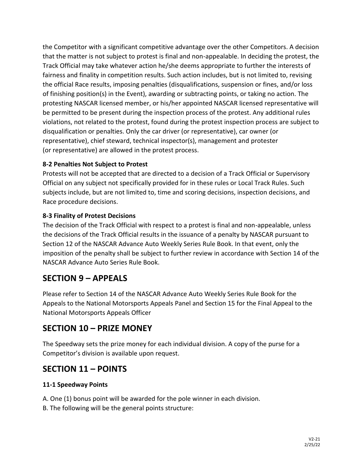the Competitor with a significant competitive advantage over the other Competitors. A decision that the matter is not subject to protest is final and non-appealable. In deciding the protest, the Track Official may take whatever action he/she deems appropriate to further the interests of fairness and finality in competition results. Such action includes, but is not limited to, revising the official Race results, imposing penalties (disqualifications, suspension or fines, and/or loss of finishing position(s) in the Event), awarding or subtracting points, or taking no action. The protesting NASCAR licensed member, or his/her appointed NASCAR licensed representative will be permitted to be present during the inspection process of the protest. Any additional rules violations, not related to the protest, found during the protest inspection process are subject to disqualification or penalties. Only the car driver (or representative), car owner (or representative), chief steward, technical inspector(s), management and protester (or representative) are allowed in the protest process.

## **8-2 Penalties Not Subject to Protest**

Protests will not be accepted that are directed to a decision of a Track Official or Supervisory Official on any subject not specifically provided for in these rules or Local Track Rules. Such subjects include, but are not limited to, time and scoring decisions, inspection decisions, and Race procedure decisions.

## **8-3 Finality of Protest Decisions**

The decision of the Track Official with respect to a protest is final and non-appealable, unless the decisions of the Track Official results in the issuance of a penalty by NASCAR pursuant to Section 12 of the NASCAR Advance Auto Weekly Series Rule Book. In that event, only the imposition of the penalty shall be subject to further review in accordance with Section 14 of the NASCAR Advance Auto Series Rule Book.

# **SECTION 9 – APPEALS**

Please refer to Section 14 of the NASCAR Advance Auto Weekly Series Rule Book for the Appeals to the National Motorsports Appeals Panel and Section 15 for the Final Appeal to the National Motorsports Appeals Officer

# **SECTION 10 – PRIZE MONEY**

The Speedway sets the prize money for each individual division. A copy of the purse for a Competitor's division is available upon request.

# **SECTION 11 – POINTS**

## **11-1 Speedway Points**

- A. One (1) bonus point will be awarded for the pole winner in each division.
- B. The following will be the general points structure: